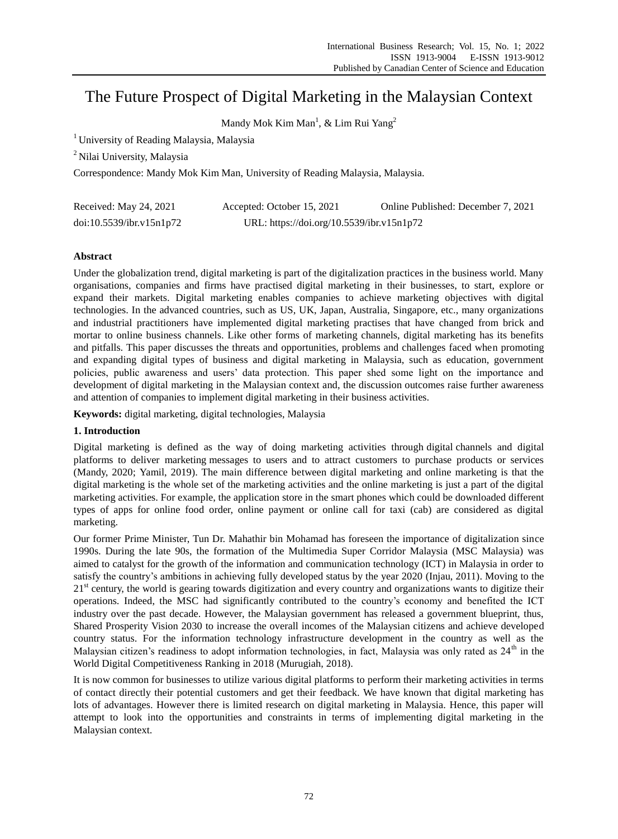# The Future Prospect of Digital Marketing in the Malaysian Context

Mandy Mok  $Kim Man<sup>1</sup>, & Lim Rui Yang<sup>2</sup>$ 

<sup>1</sup> University of Reading Malaysia, Malaysia

<sup>2</sup> Nilai University, Malaysia

Correspondence: Mandy Mok Kim Man, University of Reading Malaysia, Malaysia.

| Received: May 24, 2021   | Accepted: October 15, 2021                | Online Published: December 7, 2021 |
|--------------------------|-------------------------------------------|------------------------------------|
| doi:10.5539/ibr.v15n1p72 | URL: https://doi.org/10.5539/ibr.v15n1p72 |                                    |

# **Abstract**

Under the globalization trend, digital marketing is part of the digitalization practices in the business world. Many organisations, companies and firms have practised digital marketing in their businesses, to start, explore or expand their markets. Digital marketing enables companies to achieve marketing objectives with digital technologies. In the advanced countries, such as US, UK, Japan, Australia, Singapore, etc., many organizations and industrial practitioners have implemented digital marketing practises that have changed from brick and mortar to online business channels. Like other forms of marketing channels, digital marketing has its benefits and pitfalls. This paper discusses the threats and opportunities, problems and challenges faced when promoting and expanding digital types of business and digital marketing in Malaysia, such as education, government policies, public awareness and users' data protection. This paper shed some light on the importance and development of digital marketing in the Malaysian context and, the discussion outcomes raise further awareness and attention of companies to implement digital marketing in their business activities.

**Keywords:** digital marketing, digital technologies, Malaysia

# **1. Introduction**

Digital marketing is defined as the way of doing marketing activities through digital channels and digital platforms to deliver marketing messages to users and to attract customers to purchase products or services (Mandy, 2020; Yamil, 2019). The main difference between digital marketing and online marketing is that the digital marketing is the whole set of the marketing activities and the online marketing is just a part of the digital marketing activities. For example, the application store in the smart phones which could be downloaded different types of apps for online food order, online payment or online call for taxi (cab) are considered as digital marketing.

Our former Prime Minister, Tun Dr. Mahathir bin Mohamad has foreseen the importance of digitalization since 1990s. During the late 90s, the formation of the Multimedia Super Corridor Malaysia (MSC Malaysia) was aimed to catalyst for the growth of the information and communication technology (ICT) in Malaysia in order to satisfy the country's ambitions in achieving fully developed status by the year 2020 (Injau, 2011). Moving to the  $21<sup>st</sup>$  century, the world is gearing towards digitization and every country and organizations wants to digitize their operations. Indeed, the MSC had significantly contributed to the country's economy and benefited the ICT industry over the past decade. However, the Malaysian government has released a government blueprint, thus, Shared Prosperity Vision 2030 to increase the overall incomes of the Malaysian citizens and achieve developed country status. For the information technology infrastructure development in the country as well as the Malaysian citizen's readiness to adopt information technologies, in fact, Malaysia was only rated as  $24<sup>th</sup>$  in the World Digital Competitiveness Ranking in 2018 (Murugiah, 2018).

It is now common for businesses to utilize various digital platforms to perform their marketing activities in terms of contact directly their potential customers and get their feedback. We have known that digital marketing has lots of advantages. However there is limited research on digital marketing in Malaysia. Hence, this paper will attempt to look into the opportunities and constraints in terms of implementing digital marketing in the Malaysian context.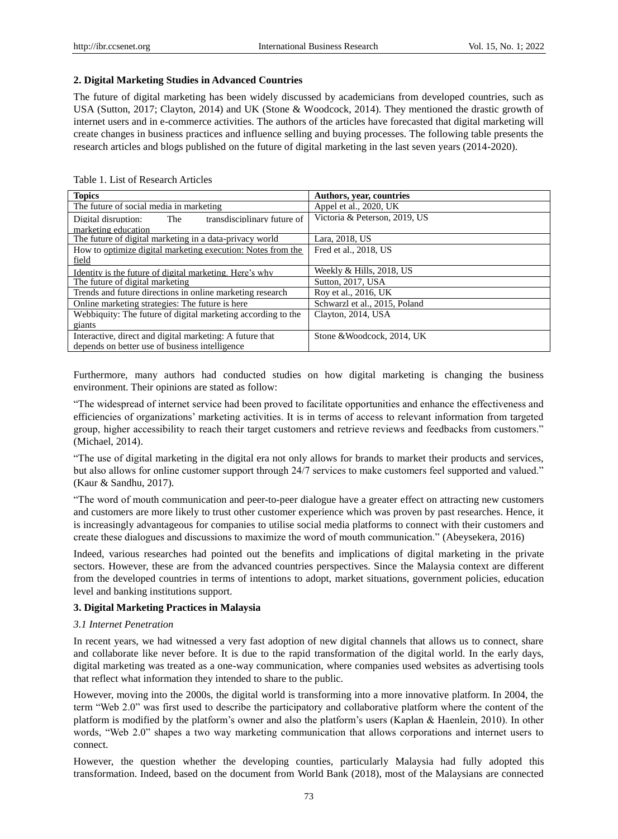## **2. Digital Marketing Studies in Advanced Countries**

The future of digital marketing has been widely discussed by academicians from developed countries, such as USA (Sutton, 2017; Clayton, 2014) and UK (Stone & Woodcock, 2014). They mentioned the drastic growth of internet users and in e-commerce activities. The authors of the articles have forecasted that digital marketing will create changes in business practices and influence selling and buying processes. The following table presents the research articles and blogs published on the future of digital marketing in the last seven years (2014-2020).

| <b>Topics</b>                                                                                              | <b>Authors, year, countries</b> |  |
|------------------------------------------------------------------------------------------------------------|---------------------------------|--|
| The future of social media in marketing                                                                    | Appel et al., 2020, UK          |  |
| transdisciplinary future of<br>Digital disruption:<br>The<br>marketing education                           | Victoria & Peterson, 2019, US   |  |
| The future of digital marketing in a data-privacy world                                                    | Lara, 2018, US                  |  |
| How to optimize digital marketing execution: Notes from the<br>field                                       | Fred et al., 2018, US           |  |
| Identity is the future of digital marketing. Here's why                                                    | Weekly & Hills, 2018, US        |  |
| The future of digital marketing                                                                            | Sutton, 2017, USA               |  |
| Trends and future directions in online marketing research                                                  | Roy et al., 2016, UK            |  |
| Online marketing strategies: The future is here.                                                           | Schwarzl et al., 2015, Poland   |  |
| Webbiquity: The future of digital marketing according to the                                               | Clayton, 2014, USA              |  |
| giants                                                                                                     |                                 |  |
| Interactive, direct and digital marketing: A future that<br>depends on better use of business intelligence | Stone & Woodcock, 2014, UK      |  |

# Table 1. List of Research Articles

Furthermore, many authors had conducted studies on how digital marketing is changing the business environment. Their opinions are stated as follow:

"The widespread of internet service had been proved to facilitate opportunities and enhance the effectiveness and efficiencies of organizations' marketing activities. It is in terms of access to relevant information from targeted group, higher accessibility to reach their target customers and retrieve reviews and feedbacks from customers." (Michael, 2014).

"The use of digital marketing in the digital era not only allows for brands to market their products and services, but also allows for online customer support through 24/7 services to make customers feel supported and valued." (Kaur & Sandhu, 2017).

"The word of mouth communication and peer-to-peer dialogue have a greater effect on attracting new customers and customers are more likely to trust other customer experience which was proven by past researches. Hence, it is increasingly advantageous for companies to utilise social media platforms to connect with their customers and create these dialogues and discussions to maximize the word of mouth communication." (Abeysekera, 2016)

Indeed, various researches had pointed out the benefits and implications of digital marketing in the private sectors. However, these are from the advanced countries perspectives. Since the Malaysia context are different from the developed countries in terms of intentions to adopt, market situations, government policies, education level and banking institutions support.

## **3. Digital Marketing Practices in Malaysia**

#### *3.1 Internet Penetration*

In recent years, we had witnessed a very fast adoption of new digital channels that allows us to connect, share and collaborate like never before. It is due to the rapid transformation of the digital world. In the early days, digital marketing was treated as a one-way communication, where companies used websites as advertising tools that reflect what information they intended to share to the public.

However, moving into the 2000s, the digital world is transforming into a more innovative platform. In 2004, the term "Web 2.0" was first used to describe the participatory and collaborative platform where the content of the platform is modified by the platform's owner and also the platform's users (Kaplan & Haenlein, 2010). In other words, "Web 2.0" shapes a two way marketing communication that allows corporations and internet users to connect.

However, the question whether the developing counties, particularly Malaysia had fully adopted this transformation. Indeed, based on the document from World Bank (2018), most of the Malaysians are connected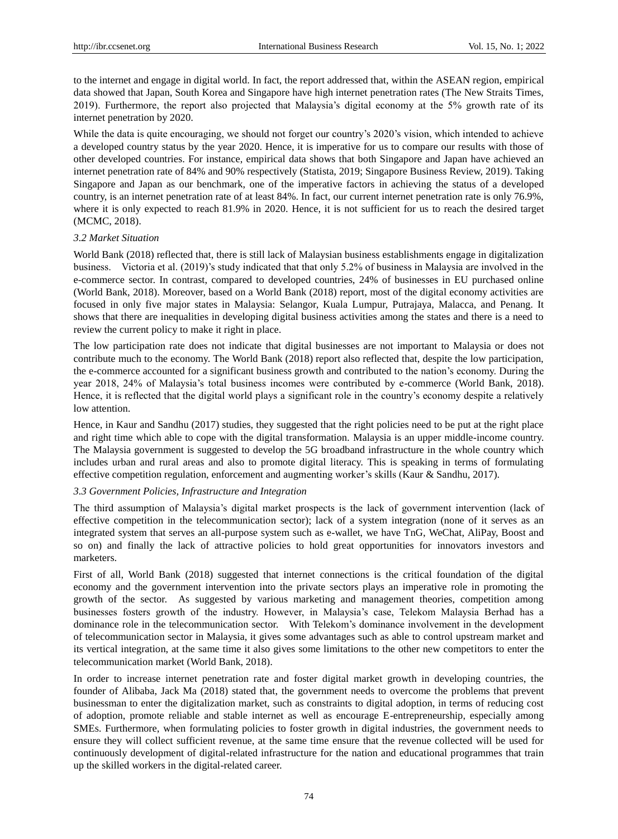to the internet and engage in digital world. In fact, the report addressed that, within the ASEAN region, empirical data showed that Japan, South Korea and Singapore have high internet penetration rates (The New Straits Times, 2019). Furthermore, the report also projected that Malaysia's digital economy at the 5% growth rate of its internet penetration by 2020.

While the data is quite encouraging, we should not forget our country's 2020's vision, which intended to achieve a developed country status by the year 2020. Hence, it is imperative for us to compare our results with those of other developed countries. For instance, empirical data shows that both Singapore and Japan have achieved an internet penetration rate of 84% and 90% respectively (Statista, 2019; Singapore Business Review, 2019). Taking Singapore and Japan as our benchmark, one of the imperative factors in achieving the status of a developed country, is an internet penetration rate of at least 84%. In fact, our current internet penetration rate is only 76.9%, where it is only expected to reach 81.9% in 2020. Hence, it is not sufficient for us to reach the desired target (MCMC, 2018).

#### *3.2 Market Situation*

World Bank (2018) reflected that, there is still lack of Malaysian business establishments engage in digitalization business. Victoria et al. (2019)'s study indicated that that only 5.2% of business in Malaysia are involved in the e-commerce sector. In contrast, compared to developed countries, 24% of businesses in EU purchased online (World Bank, 2018). Moreover, based on a World Bank (2018) report, most of the digital economy activities are focused in only five major states in Malaysia: Selangor, Kuala Lumpur, Putrajaya, Malacca, and Penang. It shows that there are inequalities in developing digital business activities among the states and there is a need to review the current policy to make it right in place.

The low participation rate does not indicate that digital businesses are not important to Malaysia or does not contribute much to the economy. The World Bank (2018) report also reflected that, despite the low participation, the e-commerce accounted for a significant business growth and contributed to the nation's economy. During the year 2018, 24% of Malaysia's total business incomes were contributed by e-commerce (World Bank, 2018). Hence, it is reflected that the digital world plays a significant role in the country's economy despite a relatively low attention.

Hence, in Kaur and Sandhu (2017) studies, they suggested that the right policies need to be put at the right place and right time which able to cope with the digital transformation. Malaysia is an upper middle-income country. The Malaysia government is suggested to develop the 5G broadband infrastructure in the whole country which includes urban and rural areas and also to promote digital literacy. This is speaking in terms of formulating effective competition regulation, enforcement and augmenting worker's skills (Kaur & Sandhu, 2017).

#### *3.3 Government Policies, Infrastructure and Integration*

The third assumption of Malaysia's digital market prospects is the lack of government intervention (lack of effective competition in the telecommunication sector); lack of a system integration (none of it serves as an integrated system that serves an all-purpose system such as e-wallet, we have TnG, WeChat, AliPay, Boost and so on) and finally the lack of attractive policies to hold great opportunities for innovators investors and marketers.

First of all, World Bank (2018) suggested that internet connections is the critical foundation of the digital economy and the government intervention into the private sectors plays an imperative role in promoting the growth of the sector. As suggested by various marketing and management theories, competition among businesses fosters growth of the industry. However, in Malaysia's case, Telekom Malaysia Berhad has a dominance role in the telecommunication sector. With Telekom's dominance involvement in the development of telecommunication sector in Malaysia, it gives some advantages such as able to control upstream market and its vertical integration, at the same time it also gives some limitations to the other new competitors to enter the telecommunication market (World Bank, 2018).

In order to increase internet penetration rate and foster digital market growth in developing countries, the founder of Alibaba, Jack Ma (2018) stated that, the government needs to overcome the problems that prevent businessman to enter the digitalization market, such as constraints to digital adoption, in terms of reducing cost of adoption, promote reliable and stable internet as well as encourage E-entrepreneurship, especially among SMEs. Furthermore, when formulating policies to foster growth in digital industries, the government needs to ensure they will collect sufficient revenue, at the same time ensure that the revenue collected will be used for continuously development of digital-related infrastructure for the nation and educational programmes that train up the skilled workers in the digital-related career.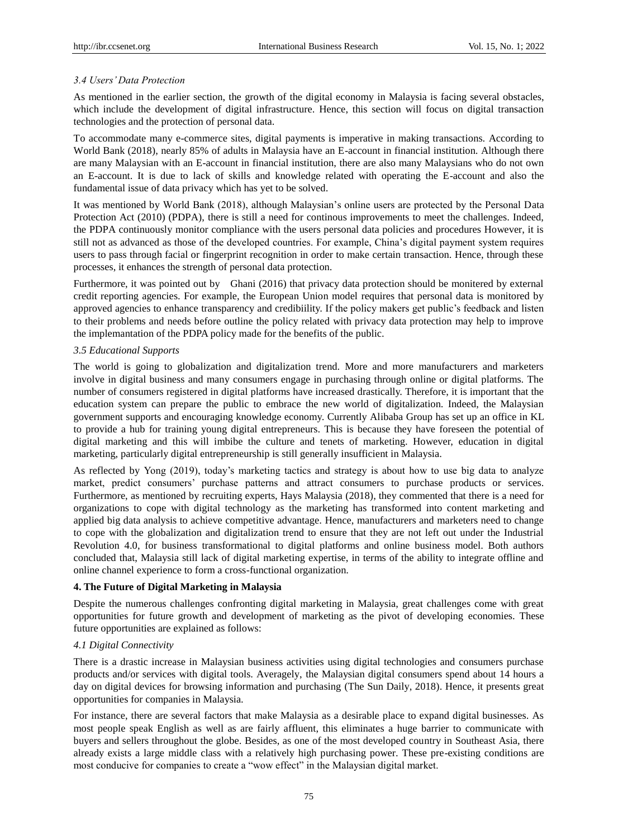# *3.4 Users' Data Protection*

As mentioned in the earlier section, the growth of the digital economy in Malaysia is facing several obstacles, which include the development of digital infrastructure. Hence, this section will focus on digital transaction technologies and the protection of personal data.

To accommodate many e-commerce sites, digital payments is imperative in making transactions. According to World Bank (2018), nearly 85% of adults in Malaysia have an E-account in financial institution. Although there are many Malaysian with an E-account in financial institution, there are also many Malaysians who do not own an E-account. It is due to lack of skills and knowledge related with operating the E-account and also the fundamental issue of data privacy which has yet to be solved.

It was mentioned by World Bank (2018), although Malaysian's online users are protected by the Personal Data Protection Act (2010) (PDPA), there is still a need for continous improvements to meet the challenges. Indeed, the PDPA continuously monitor compliance with the users personal data policies and procedures However, it is still not as advanced as those of the developed countries. For example, China's digital payment system requires users to pass through facial or fingerprint recognition in order to make certain transaction. Hence, through these processes, it enhances the strength of personal data protection.

Furthermore, it was pointed out by Ghani (2016) that privacy data protection should be monitered by external credit reporting agencies. For example, the European Union model requires that personal data is monitored by approved agencies to enhance transparency and credibiility. If the policy makers get public's feedback and listen to their problems and needs before outline the policy related with privacy data protection may help to improve the implemantation of the PDPA policy made for the benefits of the public.

# *3.5 Educational Supports*

The world is going to globalization and digitalization trend. More and more manufacturers and marketers involve in digital business and many consumers engage in purchasing through online or digital platforms. The number of consumers registered in digital platforms have increased drastically. Therefore, it is important that the education system can prepare the public to embrace the new world of digitalization. Indeed, the Malaysian government supports and encouraging knowledge economy. Currently Alibaba Group has set up an office in KL to provide a hub for training young digital entrepreneurs. This is because they have foreseen the potential of digital marketing and this will imbibe the culture and tenets of marketing. However, education in digital marketing, particularly digital entrepreneurship is still generally insufficient in Malaysia.

As reflected by Yong (2019), today's marketing tactics and strategy is about how to use big data to analyze market, predict consumers' purchase patterns and attract consumers to purchase products or services. Furthermore, as mentioned by recruiting experts, Hays Malaysia (2018), they commented that there is a need for organizations to cope with digital technology as the marketing has transformed into content marketing and applied big data analysis to achieve competitive advantage. Hence, manufacturers and marketers need to change to cope with the globalization and digitalization trend to ensure that they are not left out under the Industrial Revolution 4.0, for business transformational to digital platforms and online business model. Both authors concluded that, Malaysia still lack of digital marketing expertise, in terms of the ability to integrate offline and online channel experience to form a cross-functional organization.

# **4. The Future of Digital Marketing in Malaysia**

Despite the numerous challenges confronting digital marketing in Malaysia, great challenges come with great opportunities for future growth and development of marketing as the pivot of developing economies. These future opportunities are explained as follows:

# *4.1 Digital Connectivity*

There is a drastic increase in Malaysian business activities using digital technologies and consumers purchase products and/or services with digital tools. Averagely, the Malaysian digital consumers spend about 14 hours a day on digital devices for browsing information and purchasing (The Sun Daily, 2018). Hence, it presents great opportunities for companies in Malaysia.

For instance, there are several factors that make Malaysia as a desirable place to expand digital businesses. As most people speak English as well as are fairly affluent, this eliminates a huge barrier to communicate with buyers and sellers throughout the globe. Besides, as one of the most developed country in Southeast Asia, there already exists a large middle class with a relatively high purchasing power. These pre-existing conditions are most conducive for companies to create a "wow effect" in the Malaysian digital market.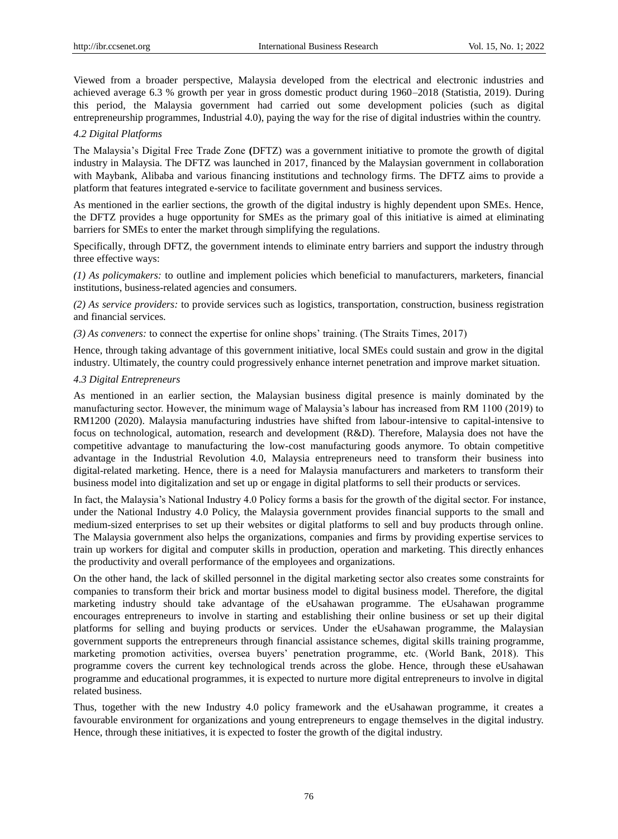Viewed from a broader perspective, Malaysia developed from the electrical and electronic industries and achieved average 6.3 % growth per year in gross domestic product during 1960–2018 (Statistia, 2019). During this period, the Malaysia government had carried out some development policies (such as digital entrepreneurship programmes, Industrial 4.0), paying the way for the rise of digital industries within the country.

## *4.2 Digital Platforms*

The Malaysia's Digital Free Trade Zone **(**DFTZ) was a government initiative to promote the growth of digital industry in Malaysia. The DFTZ was launched in 2017, financed by the Malaysian government in collaboration with Maybank, Alibaba and various financing institutions and technology firms. The DFTZ aims to provide a platform that features integrated e-service to facilitate government and business services.

As mentioned in the earlier sections, the growth of the digital industry is highly dependent upon SMEs. Hence, the DFTZ provides a huge opportunity for SMEs as the primary goal of this initiative is aimed at eliminating barriers for SMEs to enter the market through simplifying the regulations.

Specifically, through DFTZ, the government intends to eliminate entry barriers and support the industry through three effective ways:

*(1) As policymakers:* to outline and implement policies which beneficial to manufacturers, marketers, financial institutions, business-related agencies and consumers.

*(2) As service providers:* to provide services such as logistics, transportation, construction, business registration and financial services.

*(3) As conveners:* to connect the expertise for online shops' training. (The Straits Times, 2017)

Hence, through taking advantage of this government initiative, local SMEs could sustain and grow in the digital industry. Ultimately, the country could progressively enhance internet penetration and improve market situation.

### *4.3 Digital Entrepreneurs*

As mentioned in an earlier section, the Malaysian business digital presence is mainly dominated by the manufacturing sector. However, the minimum wage of Malaysia's labour has increased from RM 1100 (2019) to RM1200 (2020). Malaysia manufacturing industries have shifted from labour-intensive to capital-intensive to focus on technological, automation, research and development (R&D). Therefore, Malaysia does not have the competitive advantage to manufacturing the low-cost manufacturing goods anymore. To obtain competitive advantage in the Industrial Revolution 4.0, Malaysia entrepreneurs need to transform their business into digital-related marketing. Hence, there is a need for Malaysia manufacturers and marketers to transform their business model into digitalization and set up or engage in digital platforms to sell their products or services.

In fact, the Malaysia's National Industry 4.0 Policy forms a basis for the growth of the digital sector. For instance, under the National Industry 4.0 Policy, the Malaysia government provides financial supports to the small and medium-sized enterprises to set up their websites or digital platforms to sell and buy products through online. The Malaysia government also helps the organizations, companies and firms by providing expertise services to train up workers for digital and computer skills in production, operation and marketing. This directly enhances the productivity and overall performance of the employees and organizations.

On the other hand, the lack of skilled personnel in the digital marketing sector also creates some constraints for companies to transform their brick and mortar business model to digital business model. Therefore, the digital marketing industry should take advantage of the eUsahawan programme. The eUsahawan programme encourages entrepreneurs to involve in starting and establishing their online business or set up their digital platforms for selling and buying products or services. Under the eUsahawan programme, the Malaysian government supports the entrepreneurs through financial assistance schemes, digital skills training programme, marketing promotion activities, oversea buyers' penetration programme, etc. (World Bank, 2018). This programme covers the current key technological trends across the globe. Hence, through these eUsahawan programme and educational programmes, it is expected to nurture more digital entrepreneurs to involve in digital related business.

Thus, together with the new Industry 4.0 policy framework and the eUsahawan programme, it creates a favourable environment for organizations and young entrepreneurs to engage themselves in the digital industry. Hence, through these initiatives, it is expected to foster the growth of the digital industry.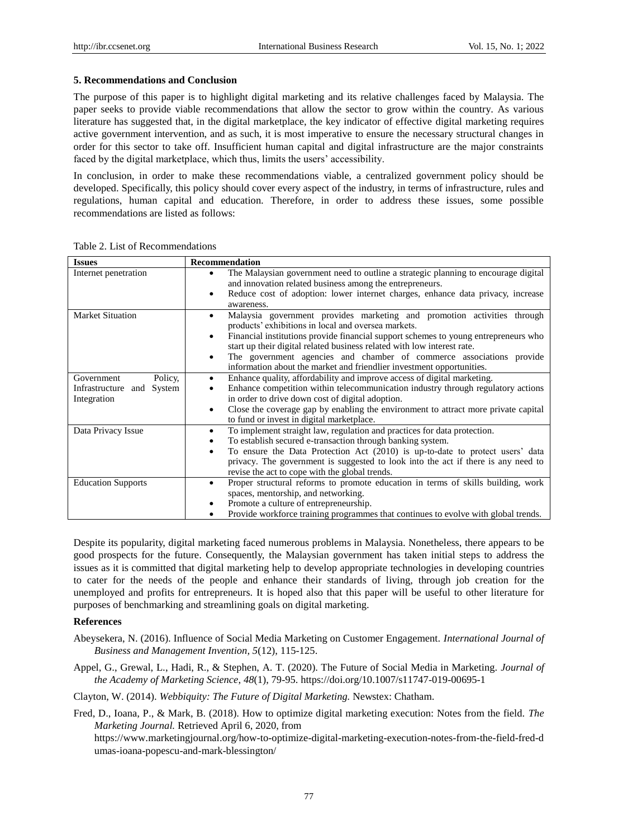## **5. Recommendations and Conclusion**

The purpose of this paper is to highlight digital marketing and its relative challenges faced by Malaysia. The paper seeks to provide viable recommendations that allow the sector to grow within the country. As various literature has suggested that, in the digital marketplace, the key indicator of effective digital marketing requires active government intervention, and as such, it is most imperative to ensure the necessary structural changes in order for this sector to take off. Insufficient human capital and digital infrastructure are the major constraints faced by the digital marketplace, which thus, limits the users' accessibility.

In conclusion, in order to make these recommendations viable, a centralized government policy should be developed. Specifically, this policy should cover every aspect of the industry, in terms of infrastructure, rules and regulations, human capital and education. Therefore, in order to address these issues, some possible recommendations are listed as follows:

| <b>Issues</b>             | <b>Recommendation</b>                                                                                                                                                                                                                               |  |
|---------------------------|-----------------------------------------------------------------------------------------------------------------------------------------------------------------------------------------------------------------------------------------------------|--|
| Internet penetration      | The Malaysian government need to outline a strategic planning to encourage digital<br>$\bullet$<br>and innovation related business among the entrepreneurs.<br>Reduce cost of adoption: lower internet charges, enhance data privacy, increase<br>٠ |  |
|                           | awareness.                                                                                                                                                                                                                                          |  |
| <b>Market Situation</b>   | Malaysia government provides marketing and promotion activities through<br>٠<br>products' exhibitions in local and oversea markets.                                                                                                                 |  |
|                           | Financial institutions provide financial support schemes to young entrepreneurs who<br>$\bullet$                                                                                                                                                    |  |
|                           | start up their digital related business related with low interest rate.                                                                                                                                                                             |  |
|                           | The government agencies and chamber of commerce associations provide<br>٠                                                                                                                                                                           |  |
|                           | information about the market and friendlier investment opportunities.                                                                                                                                                                               |  |
| Policy,<br>Government     | Enhance quality, affordability and improve access of digital marketing.<br>$\bullet$                                                                                                                                                                |  |
| Infrastructure and System | Enhance competition within telecommunication industry through regulatory actions<br>٠                                                                                                                                                               |  |
| Integration               | in order to drive down cost of digital adoption.                                                                                                                                                                                                    |  |
|                           | Close the coverage gap by enabling the environment to attract more private capital<br>$\bullet$<br>to fund or invest in digital marketplace.                                                                                                        |  |
| Data Privacy Issue        | To implement straight law, regulation and practices for data protection.<br>٠                                                                                                                                                                       |  |
|                           | To establish secured e-transaction through banking system.<br>٠                                                                                                                                                                                     |  |
|                           | To ensure the Data Protection Act (2010) is up-to-date to protect users' data<br>$\bullet$                                                                                                                                                          |  |
|                           | privacy. The government is suggested to look into the act if there is any need to                                                                                                                                                                   |  |
|                           | revise the act to cope with the global trends.                                                                                                                                                                                                      |  |
| <b>Education Supports</b> | Proper structural reforms to promote education in terms of skills building, work<br>٠                                                                                                                                                               |  |
|                           | spaces, mentorship, and networking.                                                                                                                                                                                                                 |  |
|                           | Promote a culture of entrepreneurship.<br>٠                                                                                                                                                                                                         |  |
|                           | Provide workforce training programmes that continues to evolve with global trends.<br>٠                                                                                                                                                             |  |

Table 2. List of Recommendations

Despite its popularity, digital marketing faced numerous problems in Malaysia. Nonetheless, there appears to be good prospects for the future. Consequently, the Malaysian government has taken initial steps to address the issues as it is committed that digital marketing help to develop appropriate technologies in developing countries to cater for the needs of the people and enhance their standards of living, through job creation for the unemployed and profits for entrepreneurs. It is hoped also that this paper will be useful to other literature for purposes of benchmarking and streamlining goals on digital marketing.

#### **References**

- Abeysekera, N. (2016). Influence of Social Media Marketing on Customer Engagement. *International Journal of Business and Management Invention, 5*(12), 115-125.
- Appel, G., Grewal, L., Hadi, R., & Stephen, A. T. (2020). The Future of Social Media in Marketing. *Journal of the Academy of Marketing Science*, *48*(1), 79-95. https://doi.org/10.1007/s11747-019-00695-1
- Clayton, W. (2014). *Webbiquity: The Future of Digital Marketing.* Newstex: Chatham.

Fred, D., Ioana, P., & Mark, B. (2018). How to optimize digital marketing execution: Notes from the field. *The Marketing Journal.* Retrieved April 6, 2020, from

https://www.marketingjournal.org/how-to-optimize-digital-marketing-execution-notes-from-the-field-fred-d umas-ioana-popescu-and-mark-blessington/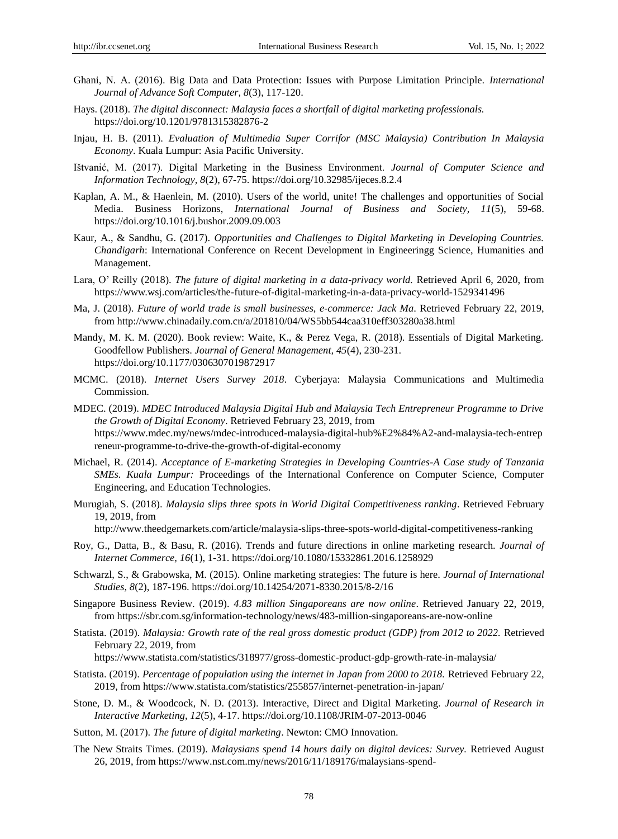- Ghani, N. A. (2016). Big Data and Data Protection: Issues with Purpose Limitation Principle. *International Journal of Advance Soft Computer, 8*(3), 117-120.
- Hays. (2018). *The digital disconnect: Malaysia faces a shortfall of digital marketing professionals.* https://doi.org/10.1201/9781315382876-2
- Injau, H. B. (2011). *Evaluation of Multimedia Super Corrifor (MSC Malaysia) Contribution In Malaysia Economy*. Kuala Lumpur: Asia Pacific University.
- Ištvanić, M. (2017). Digital Marketing in the Business Environment. *Journal of Computer Science and Information Technology, 8*(2), 67-75. https://doi.org/10.32985/ijeces.8.2.4
- Kaplan, A. M., & Haenlein, M. (2010). Users of the world, unite! The challenges and opportunities of Social Media. Business Horizons, *International Journal of Business and Society, 11*(5), 59-68. https://doi.org/10.1016/j.bushor.2009.09.003
- Kaur, A., & Sandhu, G. (2017). *Opportunities and Challenges to Digital Marketing in Developing Countries. Chandigarh*: International Conference on Recent Development in Engineeringg Science, Humanities and Management.
- Lara, O' Reilly (2018). *The future of digital marketing in a data-privacy world.* Retrieved April 6, 2020, from https://www.wsj.com/articles/the-future-of-digital-marketing-in-a-data-privacy-world-1529341496
- Ma, J. (2018). *Future of world trade is small businesses, e-commerce: Jack Ma*. Retrieved February 22, 2019, from http://www.chinadaily.com.cn/a/201810/04/WS5bb544caa310eff303280a38.html
- Mandy, M. K. M. (2020). Book review: Waite, K., & Perez Vega, R. (2018). Essentials of Digital Marketing. Goodfellow Publishers. *Journal of General Management, 45*(4), 230-231. https://doi.org/10.1177/0306307019872917
- MCMC. (2018). *Internet Users Survey 2018*. Cyberjaya: Malaysia Communications and Multimedia Commission.
- MDEC. (2019). *MDEC Introduced Malaysia Digital Hub and Malaysia Tech Entrepreneur Programme to Drive the Growth of Digital Economy*. Retrieved February 23, 2019, from [https://www.mdec.my/news/mdec-introduced-malaysia-digital-hub%E2%84%A2-and-malaysia-tech-entrep](https://www.mdec.my/news/mdec-introduced-malaysia-digital-hub%E2%84%A2-and-malaysia-tech-entrepreneur-programme-to-drive-the-growth-of-digital-economy) [reneur-programme-to-drive-the-growth-of-digital-economy](https://www.mdec.my/news/mdec-introduced-malaysia-digital-hub%E2%84%A2-and-malaysia-tech-entrepreneur-programme-to-drive-the-growth-of-digital-economy)
- Michael, R. (2014). *Acceptance of E-marketing Strategies in Developing Countries-A Case study of Tanzania SMEs. Kuala Lumpur:* Proceedings of the International Conference on Computer Science, Computer Engineering, and Education Technologies.
- Murugiah, S. (2018). *Malaysia slips three spots in World Digital Competitiveness ranking*. Retrieved February 19, 2019, from
	- <http://www.theedgemarkets.com/article/malaysia-slips-three-spots-world-digital-competitiveness-ranking>
- Roy, G., Datta, B., & Basu, R. (2016). Trends and future directions in online marketing research. *Journal of Internet Commerce, 16*(1), 1-31. https://doi.org/10.1080/15332861.2016.1258929
- Schwarzl, S., & Grabowska, M. (2015). Online marketing strategies: The future is here. *Journal of International Studies*, *8*(2), 187-196. https://doi.org/10.14254/2071-8330.2015/8-2/16
- Singapore Business Review. (2019). *4.83 million Singaporeans are now online*. Retrieved January 22, 2019, from<https://sbr.com.sg/information-technology/news/483-million-singaporeans-are-now-online>
- Statista. (2019). *Malaysia: Growth rate of the real gross domestic product (GDP) from 2012 to 2022.* Retrieved February 22, 2019, from

<https://www.statista.com/statistics/318977/gross-domestic-product-gdp-growth-rate-in-malaysia/>

- Statista. (2019). *Percentage of population using the internet in Japan from 2000 to 2018.* Retrieved February 22, 2019, from<https://www.statista.com/statistics/255857/internet-penetration-in-japan/>
- Stone, D. M., & Woodcock, N. D. (2013). Interactive, Direct and Digital Marketing. *Journal of Research in Interactive Marketing, 12*(5), 4-17. https://doi.org/10.1108/JRIM-07-2013-0046
- Sutton, M. (2017). *The future of digital marketing*. Newton: CMO Innovation.
- The New Straits Times. (2019). *Malaysians spend 14 hours daily on digital devices: Survey.* Retrieved August 26, 2019, from https://www.nst.com.my/news/2016/11/189176/malaysians-spend-